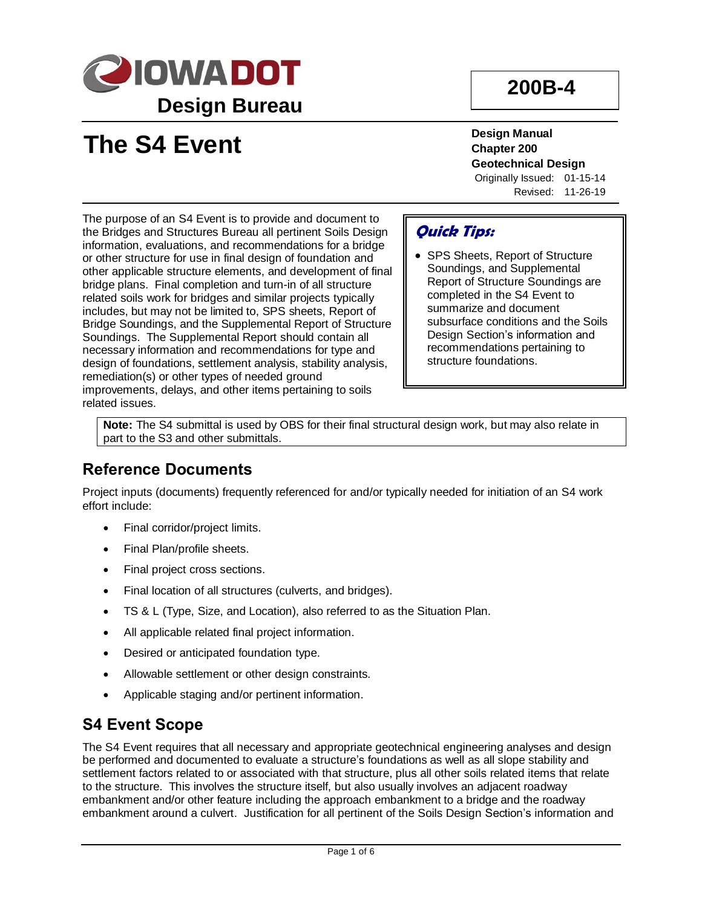

## **200B-4**

# **The S4 Event**

**Design Manual Chapter 200 Geotechnical Design** Originally Issued: 01-15-14 Revised: 11-26-19

The purpose of an S4 Event is to provide and document to the Bridges and Structures Bureau all pertinent Soils Design information, evaluations, and recommendations for a bridge or other structure for use in final design of foundation and other applicable structure elements, and development of final bridge plans. Final completion and turn-in of all structure related soils work for bridges and similar projects typically includes, but may not be limited to, SPS sheets, Report of Bridge Soundings, and the Supplemental Report of Structure Soundings. The Supplemental Report should contain all necessary information and recommendations for type and design of foundations, settlement analysis, stability analysis, remediation(s) or other types of needed ground improvements, delays, and other items pertaining to soils related issues.

### **Quick Tips:**

• SPS Sheets, Report of Structure Soundings, and Supplemental Report of Structure Soundings are completed in the S4 Event to summarize and document subsurface conditions and the Soils Design Section's information and recommendations pertaining to structure foundations.

**Note:** The S4 submittal is used by OBS for their final structural design work, but may also relate in part to the S3 and other submittals.

#### **Reference Documents**

Project inputs (documents) frequently referenced for and/or typically needed for initiation of an S4 work effort include:

- Final corridor/project limits.
- Final Plan/profile sheets.
- Final project cross sections.
- Final location of all structures (culverts, and bridges).
- TS & L (Type, Size, and Location), also referred to as the Situation Plan.
- All applicable related final project information.
- Desired or anticipated foundation type.
- Allowable settlement or other design constraints.
- Applicable staging and/or pertinent information.

#### **S4 Event Scope**

The S4 Event requires that all necessary and appropriate geotechnical engineering analyses and design be performed and documented to evaluate a structure's foundations as well as all slope stability and settlement factors related to or associated with that structure, plus all other soils related items that relate to the structure. This involves the structure itself, but also usually involves an adjacent roadway embankment and/or other feature including the approach embankment to a bridge and the roadway embankment around a culvert. Justification for all pertinent of the Soils Design Section's information and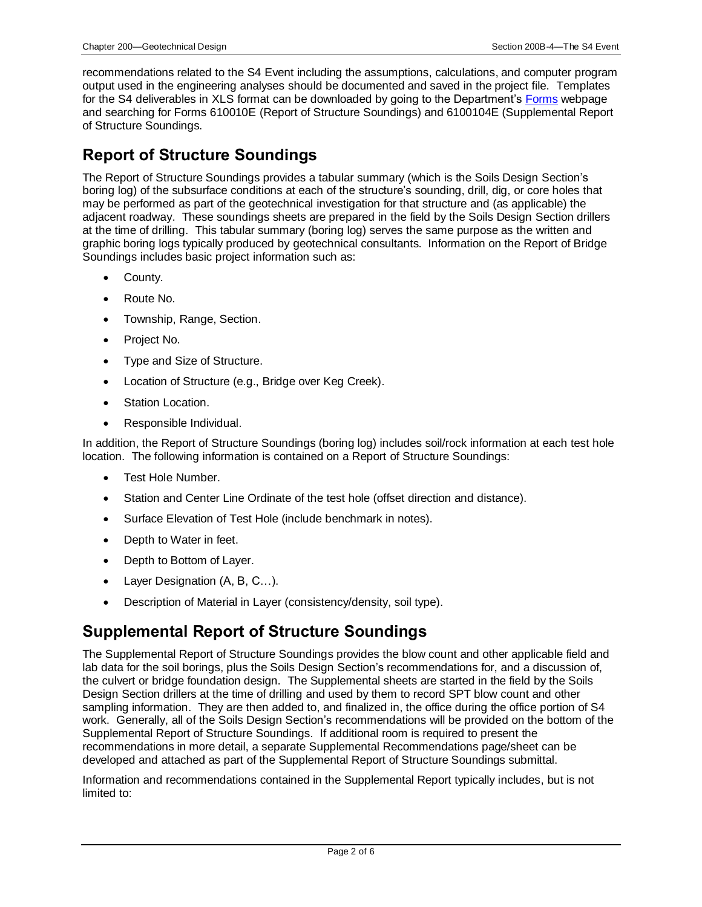recommendations related to the S4 Event including the assumptions, calculations, and computer program output used in the engineering analyses should be documented and saved in the project file. Templates for the S4 deliverables in XLS format can be downloaded by going to the Department's [Forms](https://forms.iowadot.gov/Default.aspx) webpage and searching for Forms 610010E (Report of Structure Soundings) and 6100104E (Supplemental Report of Structure Soundings.

#### **Report of Structure Soundings**

The Report of Structure Soundings provides a tabular summary (which is the Soils Design Section's boring log) of the subsurface conditions at each of the structure's sounding, drill, dig, or core holes that may be performed as part of the geotechnical investigation for that structure and (as applicable) the adjacent roadway. These soundings sheets are prepared in the field by the Soils Design Section drillers at the time of drilling. This tabular summary (boring log) serves the same purpose as the written and graphic boring logs typically produced by geotechnical consultants. Information on the Report of Bridge Soundings includes basic project information such as:

- County.
- Route No.
- Township, Range, Section.
- Project No.
- Type and Size of Structure.
- Location of Structure (e.g., Bridge over Keg Creek).
- Station Location.
- Responsible Individual.

In addition, the Report of Structure Soundings (boring log) includes soil/rock information at each test hole location. The following information is contained on a Report of Structure Soundings:

- Test Hole Number.
- Station and Center Line Ordinate of the test hole (offset direction and distance).
- Surface Elevation of Test Hole (include benchmark in notes).
- Depth to Water in feet.
- Depth to Bottom of Layer.
- Layer Designation (A, B, C…).
- Description of Material in Layer (consistency/density, soil type).

#### **Supplemental Report of Structure Soundings**

The Supplemental Report of Structure Soundings provides the blow count and other applicable field and lab data for the soil borings, plus the Soils Design Section's recommendations for, and a discussion of, the culvert or bridge foundation design. The Supplemental sheets are started in the field by the Soils Design Section drillers at the time of drilling and used by them to record SPT blow count and other sampling information. They are then added to, and finalized in, the office during the office portion of S4 work. Generally, all of the Soils Design Section's recommendations will be provided on the bottom of the Supplemental Report of Structure Soundings. If additional room is required to present the recommendations in more detail, a separate Supplemental Recommendations page/sheet can be developed and attached as part of the Supplemental Report of Structure Soundings submittal.

Information and recommendations contained in the Supplemental Report typically includes, but is not limited to: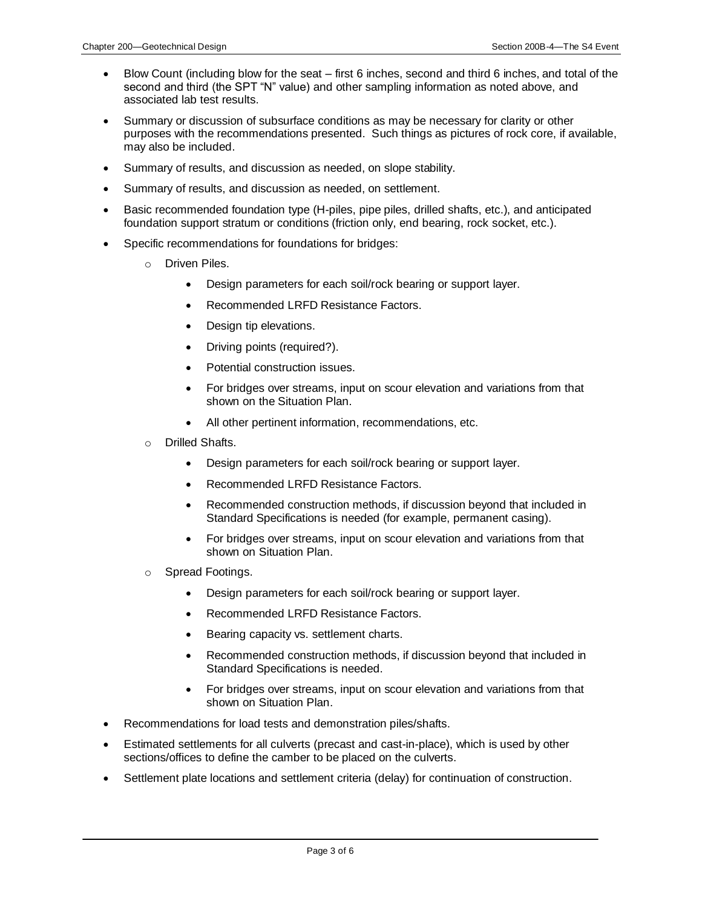- Blow Count (including blow for the seat first 6 inches, second and third 6 inches, and total of the second and third (the SPT "N" value) and other sampling information as noted above, and associated lab test results.
- Summary or discussion of subsurface conditions as may be necessary for clarity or other purposes with the recommendations presented. Such things as pictures of rock core, if available, may also be included.
- Summary of results, and discussion as needed, on slope stability.
- Summary of results, and discussion as needed, on settlement.
- Basic recommended foundation type (H-piles, pipe piles, drilled shafts, etc.), and anticipated foundation support stratum or conditions (friction only, end bearing, rock socket, etc.).
- Specific recommendations for foundations for bridges:
	- o Driven Piles.
		- Design parameters for each soil/rock bearing or support layer.
		- Recommended LRFD Resistance Factors.
		- Design tip elevations.
		- Driving points (required?).
		- Potential construction issues.
		- For bridges over streams, input on scour elevation and variations from that shown on the Situation Plan.
		- All other pertinent information, recommendations, etc.
	- o Drilled Shafts.
		- Design parameters for each soil/rock bearing or support layer.
		- Recommended LRFD Resistance Factors.
		- Recommended construction methods, if discussion beyond that included in Standard Specifications is needed (for example, permanent casing).
		- For bridges over streams, input on scour elevation and variations from that shown on Situation Plan.
	- o Spread Footings.
		- Design parameters for each soil/rock bearing or support layer.
		- Recommended LRFD Resistance Factors.
		- Bearing capacity vs. settlement charts.
		- Recommended construction methods, if discussion beyond that included in Standard Specifications is needed.
		- For bridges over streams, input on scour elevation and variations from that shown on Situation Plan.
- Recommendations for load tests and demonstration piles/shafts.
- Estimated settlements for all culverts (precast and cast-in-place), which is used by other sections/offices to define the camber to be placed on the culverts.
- Settlement plate locations and settlement criteria (delay) for continuation of construction.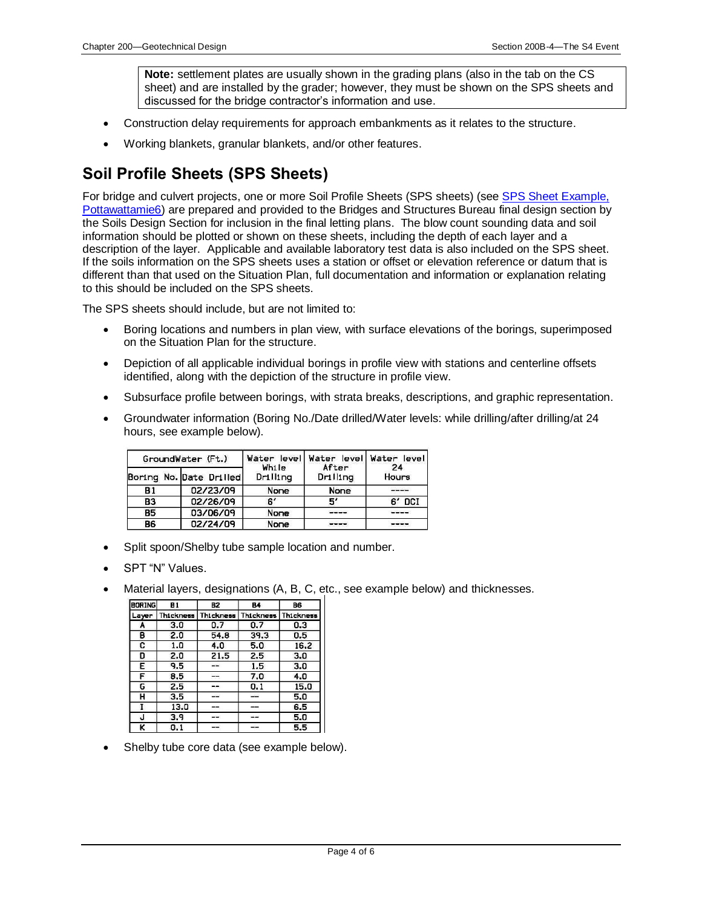**Note:** settlement plates are usually shown in the grading plans (also in the tab on the CS sheet) and are installed by the grader; however, they must be shown on the SPS sheets and discussed for the bridge contractor's information and use.

- Construction delay requirements for approach embankments as it relates to the structure.
- Working blankets, granular blankets, and/or other features.

### **Soil Profile Sheets (SPS Sheets)**

For bridge and culvert projects, one or more Soil Profile Sheets (SPS sheets) (se[e SPS Sheet Example,](200B-04/Pottawattamie6.pdf)  [Pottawattamie6\)](200B-04/Pottawattamie6.pdf) are prepared and provided to the Bridges and Structures Bureau final design section by the Soils Design Section for inclusion in the final letting plans. The blow count sounding data and soil information should be plotted or shown on these sheets, including the depth of each layer and a description of the layer. Applicable and available laboratory test data is also included on the SPS sheet. If the soils information on the SPS sheets uses a station or offset or elevation reference or datum that is different than that used on the Situation Plan, full documentation and information or explanation relating to this should be included on the SPS sheets.

The SPS sheets should include, but are not limited to:

- Boring locations and numbers in plan view, with surface elevations of the borings, superimposed on the Situation Plan for the structure.
- Depiction of all applicable individual borings in profile view with stations and centerline offsets identified, along with the depiction of the structure in profile view.
- Subsurface profile between borings, with strata breaks, descriptions, and graphic representation.
- Groundwater information (Boring No./Date drilled/Water levels: while drilling/after drilling/at 24 hours, see example below).

| GroundWater (Ft.)       |  |      |          | Water levell<br>While | After    | Water level Water level<br>24 |
|-------------------------|--|------|----------|-----------------------|----------|-------------------------------|
| Boring No. Date Drilled |  |      |          | Drilling              | Drilling | Hours                         |
| <b>B1</b>               |  |      | 02/23/09 | None                  | None     |                               |
| <b>B3</b>               |  |      | 02/26/09 | 61                    | 51       | 6' DCI                        |
| <b>B5</b>               |  |      | 03/06/09 | None                  | ----     | ----                          |
| 02/24/09<br><b>B6</b>   |  | None |          |                       |          |                               |

- Split spoon/Shelby tube sample location and number.
- SPT "N" Values.
- Material layers, designations (A, B, C, etc., see example below) and thicknesses.

| <b>BORING</b> | 81        | <b>B2</b> | <b>B4</b> | B6               |
|---------------|-----------|-----------|-----------|------------------|
| Layer         | Thickness | Thickness | Thickness | <b>Thickness</b> |
| A             | 3.0       | 0.7       | 0.7       | 0.3              |
| в             | 2.0       | 54.8      | 39.3      | 0.5              |
| c             | 1.0       | 4.0       | 5.0       | 16.2             |
| D             | 2.0       | 21.5      | 2.5       | 3.0              |
| Е             | 9.5       |           | 1.5       | 3.0              |
| F             | 8.5       | $- -$     | 7.0       | 4.0              |
| G             | 2.5       |           | 0.1       | 15.0             |
| н             | 3.5       | ست        | and the   | 5.0              |
|               | 13.0      |           |           | 6.5              |
| J             | 3.9       | --        | --        | 5.0              |
| ĸ             | 0. 1      |           |           | 5.5              |

Shelby tube core data (see example below).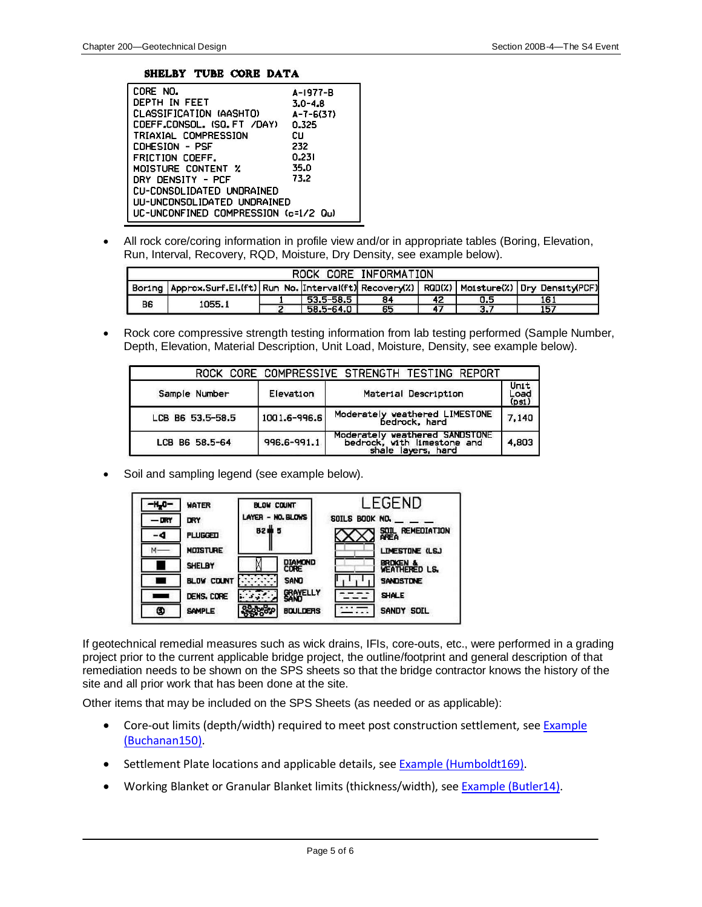#### SHELBY TUBE CORE DATA

| CORE NO.                             | A-1977-B        |
|--------------------------------------|-----------------|
| DEPTH IN FEET                        | $3.0 - 4.8$     |
| CLASSIFICATION (AASHTO)              | $A - 7 - 6(37)$ |
| COEFF.CONSOL. (SQ.FT /DAY)           | 0.325           |
| TRIAXIAL COMPRESSION                 | cц              |
| COHESION - PSF                       | 232             |
| FRICTION COEFF.                      | 0.231           |
| MOISTURE CONTENT %                   | 35.0            |
| DRY DENSITY - PCF                    | 73.2            |
| CU-CONSOLIDATED UNDRAINED            |                 |
| UU-UNCONSOLIDATED UNDRAINED          |                 |
| UC-UNCONFINED COMPRESSION (c=1/2 Qu) |                 |

• All rock core/coring information in profile view and/or in appropriate tables (Boring, Elevation, Run, Interval, Recovery, RQD, Moisture, Dry Density, see example below).

| ROCK CORE INFORMATION |                                                                                                             |  |           |    |     |     |     |
|-----------------------|-------------------------------------------------------------------------------------------------------------|--|-----------|----|-----|-----|-----|
|                       | Boring   Approx.Surf.El.(ft)   Run No.  Interval(ft)  Recovery(%)   RQD(%)   Moisture(%)   Dry Density(PCF) |  |           |    |     |     |     |
| B6                    | 1055.1                                                                                                      |  | 53.5-58.5 | 84 | 42  | 0.5 | 161 |
|                       |                                                                                                             |  | 58.5-64.0 | 65 | -47 | 3.7 | 157 |

• Rock core compressive strength testing information from lab testing performed (Sample Number, Depth, Elevation, Material Description, Unit Load, Moisture, Density, see example below).

|                  |              | ROCK CORE COMPRESSIVE STRENGTH TESTING REPORT                                       |                       |
|------------------|--------------|-------------------------------------------------------------------------------------|-----------------------|
| Sample Number    | Elevation    | Material Description                                                                | Unit<br>Load<br>(psi) |
| LCB B6 53.5-58.5 | 1001.6-996.6 | Moderately weathered LIMESTONE<br>bedrock, hard                                     | 7,140                 |
| LCB B6 58.5-64   | 996.6-991.1  | Moderately weathered SANDSTONE<br>bedrock, with limestone and<br>shale layers, hard | 4,803                 |

• Soil and sampling legend (see example below).



If geotechnical remedial measures such as wick drains, IFIs, core-outs, etc., were performed in a grading project prior to the current applicable bridge project, the outline/footprint and general description of that remediation needs to be shown on the SPS sheets so that the bridge contractor knows the history of the site and all prior work that has been done at the site.

Other items that may be included on the SPS Sheets (as needed or as applicable):

- Core-out limits (depth/width) required to meet post construction settlement, see Example [\(Buchanan150\).](200B-04/Buchanan150.pdf)
- Settlement Plate locations and applicable details, see [Example \(Humboldt169\).](200B-04/Humboldt169.pdf)
- Working Blanket or Granular Blanket limits (thickness/width), see [Example \(Butler14\).](200B-04/Bulter14.pdf)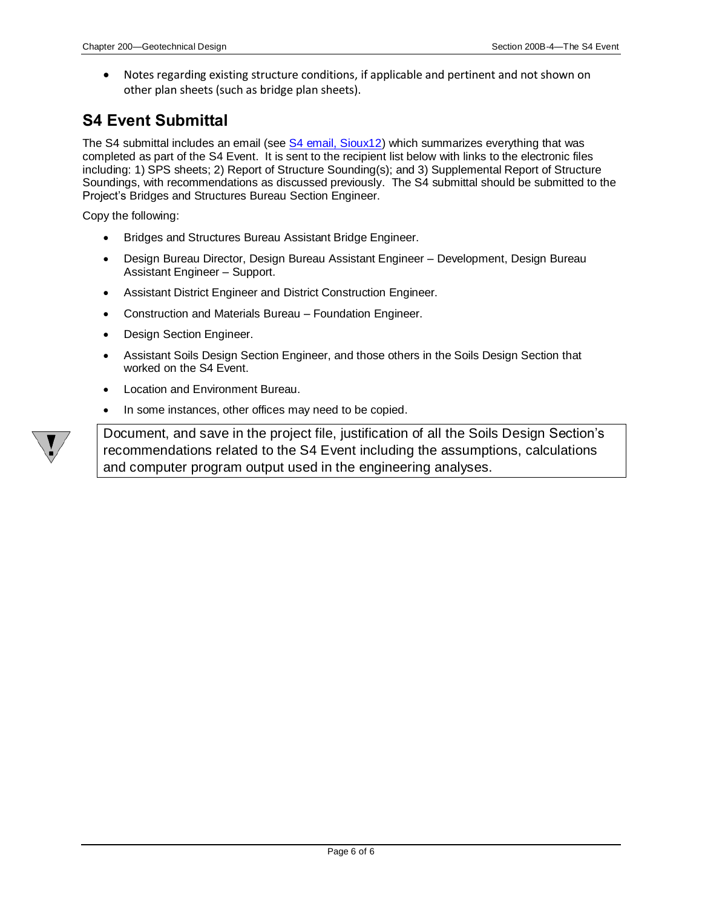• Notes regarding existing structure conditions, if applicable and pertinent and not shown on other plan sheets (such as bridge plan sheets).

#### **S4 Event Submittal**

The S4 submittal includes an email (see [S4 email, Sioux12\)](200B-04/Souix12_S4_Event.pdf) which summarizes everything that was completed as part of the S4 Event. It is sent to the recipient list below with links to the electronic files including: 1) SPS sheets; 2) Report of Structure Sounding(s); and 3) Supplemental Report of Structure Soundings, with recommendations as discussed previously. The S4 submittal should be submitted to the Project's Bridges and Structures Bureau Section Engineer.

Copy the following:

- Bridges and Structures Bureau Assistant Bridge Engineer.
- Design Bureau Director, Design Bureau Assistant Engineer Development, Design Bureau Assistant Engineer – Support.
- Assistant District Engineer and District Construction Engineer.
- Construction and Materials Bureau Foundation Engineer.
- Design Section Engineer.
- Assistant Soils Design Section Engineer, and those others in the Soils Design Section that worked on the S4 Event.
- Location and Environment Bureau.
- In some instances, other offices may need to be copied.



Document, and save in the project file, justification of all the Soils Design Section's recommendations related to the S4 Event including the assumptions, calculations and computer program output used in the engineering analyses.